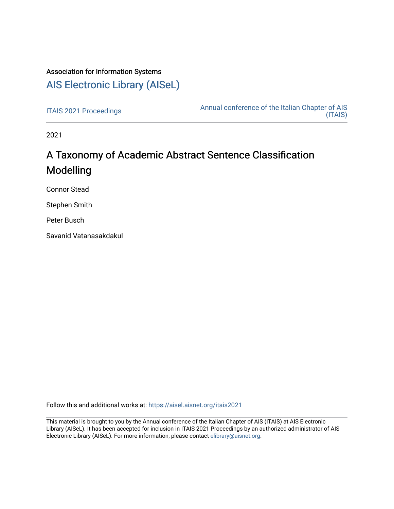# Association for Information Systems

# [AIS Electronic Library \(AISeL\)](https://aisel.aisnet.org/)

[ITAIS 2021 Proceedings](https://aisel.aisnet.org/itais2021) **Annual conference of the Italian Chapter of AIS** [\(ITAIS\)](https://aisel.aisnet.org/itais) 

2021

# A Taxonomy of Academic Abstract Sentence Classification Modelling

Connor Stead

Stephen Smith

Peter Busch

Savanid Vatanasakdakul

Follow this and additional works at: [https://aisel.aisnet.org/itais2021](https://aisel.aisnet.org/itais2021?utm_source=aisel.aisnet.org%2Fitais2021%2F24&utm_medium=PDF&utm_campaign=PDFCoverPages)

This material is brought to you by the Annual conference of the Italian Chapter of AIS (ITAIS) at AIS Electronic Library (AISeL). It has been accepted for inclusion in ITAIS 2021 Proceedings by an authorized administrator of AIS Electronic Library (AISeL). For more information, please contact [elibrary@aisnet.org.](mailto:elibrary@aisnet.org%3E)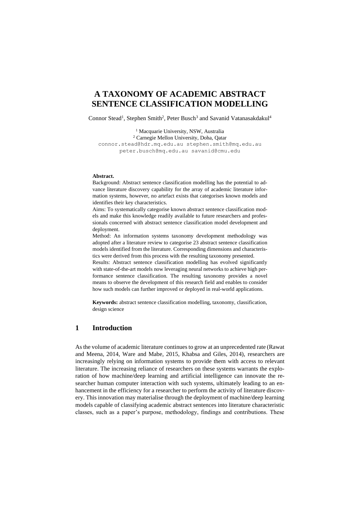# **A TAXONOMY OF ACADEMIC ABSTRACT SENTENCE CLASSIFICATION MODELLING**

Connor Stead<sup>1</sup>, Stephen Smith<sup>2</sup>, Peter Busch<sup>3</sup> and Savanid Vatanasakdakul<sup>4</sup>

<sup>1</sup> Macquarie University, NSW, Australia <sup>2</sup> Carnegie Mellon University, Doha, Qatar [connor.stead@hdr.mq.edu.au](mailto:connor.stead@hdr.mq.edu.au) [stephen.smith@mq.edu.au](mailto:stephen.smith@mq.edu.au) [peter.busch@mq.edu.au](mailto:peter.busch@mq.edu.au) savanid@cmu.edu

#### **Abstract.**

Background: Abstract sentence classification modelling has the potential to advance literature discovery capability for the array of academic literature information systems, however, no artefact exists that categorises known models and identifies their key characteristics.

Aims: To systematically categorise known abstract sentence classification models and make this knowledge readily available to future researchers and professionals concerned with abstract sentence classification model development and deployment.

Method: An information systems taxonomy development methodology was adopted after a literature review to categorise 23 abstract sentence classification models identified from the literature. Corresponding dimensions and characteristics were derived from this process with the resulting taxonomy presented.

Results: Abstract sentence classification modelling has evolved significantly with state-of-the-art models now leveraging neural networks to achieve high performance sentence classification. The resulting taxonomy provides a novel means to observe the development of this research field and enables to consider how such models can further improved or deployed in real-world applications.

**Keywords:** abstract sentence classification modelling, taxonomy, classification, design science

# **1 Introduction**

As the volume of academic literature continues to grow at an unprecedented rate (Rawat and Meena, 2014, Ware and Mabe, 2015, Khabsa and Giles, 2014), researchers are increasingly relying on information systems to provide them with access to relevant literature. The increasing reliance of researchers on these systems warrants the exploration of how machine/deep learning and artificial intelligence can innovate the researcher human computer interaction with such systems, ultimately leading to an enhancement in the efficiency for a researcher to perform the activity of literature discovery. This innovation may materialise through the deployment of machine/deep learning models capable of classifying academic abstract sentences into literature characteristic classes, such as a paper's purpose, methodology, findings and contributions. These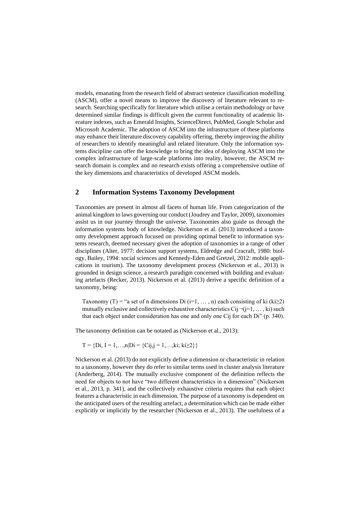models, emanating from the research field of abstract sentence classification modelling (ASCM), offer a novel means to improve the discovery of literature relevant to research. Searching specifically for literature which utilise a certain methodology or have determined similar findings is difficult given the current functionality of academic literature indexes, such as Emerald Insights, ScienceDirect, PubMed, Google Scholar and Microsoft Academic. The adoption of ASCM into the infrastructure of these platforms may enhance their literature discovery capability offering, thereby improving the ability of researchers to identify meaningful and related literature. Only the information systems discipline can offer the knowledge to bring the idea of deploying ASCM into the complex infrastructure of large-scale platforms into reality, however, the ASCM research domain is complex and no research exists offering a comprehensive outline of the key dimensions and characteristics of developed ASCM models.

# **2 Information Systems Taxonomy Development**

Taxonomies are present in almost all facets of human life. From categorization of the animal kingdom to laws governing our conduct (Joudrey and Taylor, 2009), taxonomies assist us in our journey through the universe. Taxonomies also guide us through the information systems body of knowledge. Nickerson et al. (2013) introduced a taxonomy development approach focused on providing optimal benefit to information systems research, deemed necessary given the adoption of taxonomies in a range of other disciplines (Alter, 1977: decision support systems, Eldredge and Cracraft, 1980: biology, Bailey, 1994: social sciences and Kennedy-Eden and Gretzel, 2012: mobile applications in tourism). The taxonomy development process (Nickerson et al., 2013) is grounded in design science, a research paradigm concerned with building and evaluating artefacts (Recker, 2013). Nickerson et al. (2013) derive a specific definition of a taxonomy, being:

Taxonomy (T) = "a set of n dimensions Di (i=1, ..., n) each consisting of ki (ki>2) mutually exclusive and collectively exhaustive characteristics Cij  $\neg(i=1, \ldots, ki)$  such that each object under consideration has one and only one Cij for each Di" (p. 340).

The taxonomy definition can be notated as (Nickerson et al., 2013):

$$
T = \{Di, I = 1, \ldots, n|Di = \{Cij, j = 1, \ldots, ki; ki \ge 2\}\}
$$

Nickerson et al. (2013) do not explicitly define a dimension or characteristic in relation to a taxonomy, however they do refer to similar terms used in cluster analysis literature (Anderberg, 2014). The mutually exclusive component of the definition reflects the need for objects to not have "two different characteristics in a dimension" (Nickerson et al., 2013, p. 341), and the collectively exhaustive criteria requires that each object features a characteristic in each dimension. The purpose of a taxonomy is dependent on the anticipated users of the resulting artefact, a determination which can be made either explicitly or implicitly by the researcher (Nickerson et al., 2013). The usefulness of a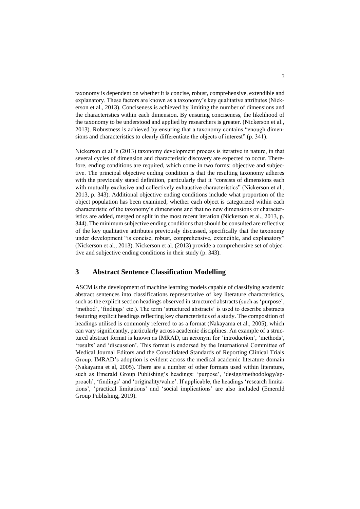taxonomy is dependent on whether it is concise, robust, comprehensive, extendible and explanatory. These factors are known as a taxonomy's key qualitative attributes (Nickerson et al., 2013). Conciseness is achieved by limiting the number of dimensions and the characteristics within each dimension. By ensuring conciseness, the likelihood of the taxonomy to be understood and applied by researchers is greater. (Nickerson et al., 2013). Robustness is achieved by ensuring that a taxonomy contains "enough dimensions and characteristics to clearly differentiate the objects of interest" (p. 341).

Nickerson et al.'s (2013) taxonomy development process is iterative in nature, in that several cycles of dimension and characteristic discovery are expected to occur. Therefore, ending conditions are required, which come in two forms: objective and subjective. The principal objective ending condition is that the resulting taxonomy adheres with the previously stated definition, particularly that it "consists of dimensions each with mutually exclusive and collectively exhaustive characteristics" (Nickerson et al., 2013, p. 343). Additional objective ending conditions include what proportion of the object population has been examined, whether each object is categorized within each characteristic of the taxonomy's dimensions and that no new dimensions or characteristics are added, merged or split in the most recent iteration (Nickerson et al., 2013, p. 344). The minimum subjective ending conditions that should be consulted are reflective of the key qualitative attributes previously discussed, specifically that the taxonomy under development "is concise, robust, comprehensive, extendible, and explanatory" (Nickerson et al., 2013). Nickerson et al. (2013) provide a comprehensive set of objective and subjective ending conditions in their study (p. 343).

# **3 Abstract Sentence Classification Modelling**

ASCM is the development of machine learning models capable of classifying academic abstract sentences into classifications representative of key literature characteristics, such as the explicit section headings observed in structured abstracts (such as 'purpose', 'method', 'findings' etc.). The term 'structured abstracts' is used to describe abstracts featuring explicit headings reflecting key characteristics of a study. The composition of headings utilised is commonly referred to as a format (Nakayama et al., 2005), which can vary significantly, particularly across academic disciplines. An example of a structured abstract format is known as IMRAD, an acronym for 'introduction', 'methods', 'results' and 'discussion'. This format is endorsed by the International Committee of Medical Journal Editors and the Consolidated Standards of Reporting Clinical Trials Group. IMRAD's adoption is evident across the medical academic literature domain (Nakayama et al, 2005). There are a number of other formats used within literature, such as Emerald Group Publishing's headings: 'purpose', 'design/methodology/approach', 'findings' and 'originality/value'. If applicable, the headings 'research limitations', 'practical limitations' and 'social implications' are also included (Emerald Group Publishing, 2019).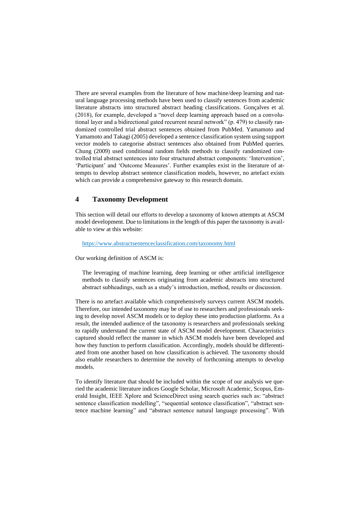There are several examples from the literature of how machine/deep learning and natural language processing methods have been used to classify sentences from academic literature abstracts into structured abstract heading classifications. Gonçalves et al. (2018), for example, developed a "novel deep learning approach based on a convolutional layer and a bidirectional gated recurrent neural network" (p. 479) to classify randomized controlled trial abstract sentences obtained from PubMed. Yamamoto and Yamamoto and Takagi (2005) developed a sentence classification system using support vector models to categorise abstract sentences also obtained from PubMed queries. Chung (2009) used conditional random fields methods to classify randomized controlled trial abstract sentences into four structured abstract components: 'Intervention', 'Participant' and 'Outcome Measures'. Further examples exist in the literature of attempts to develop abstract sentence classification models, however, no artefact exists which can provide a comprehensive gateway to this research domain.

# **4 Taxonomy Development**

This section will detail our efforts to develop a taxonomy of known attempts at ASCM model development. Due to limitations in the length of this paper the taxonomy is available to view at this website:

<https://www.abstractsentenceclassification.com/taxonomy.html>

Our working definition of ASCM is:

The leveraging of machine learning, deep learning or other artificial intelligence methods to classify sentences originating from academic abstracts into structured abstract subheadings, such as a study's introduction, method, results or discussion.

There is no artefact available which comprehensively surveys current ASCM models. Therefore, our intended taxonomy may be of use to researchers and professionals seeking to develop novel ASCM models or to deploy these into production platforms. As a result, the intended audience of the taxonomy is researchers and professionals seeking to rapidly understand the current state of ASCM model development. Characteristics captured should reflect the manner in which ASCM models have been developed and how they function to perform classification. Accordingly, models should be differentiated from one another based on how classification is achieved. The taxonomy should also enable researchers to determine the novelty of forthcoming attempts to develop models.

To identify literature that should be included within the scope of our analysis we queried the academic literature indices Google Scholar, Microsoft Academic, Scopus, Emerald Insight, IEEE Xplore and ScienceDirect using search queries such as: "abstract sentence classification modelling", "sequential sentence classification", "abstract sentence machine learning" and "abstract sentence natural language processing". With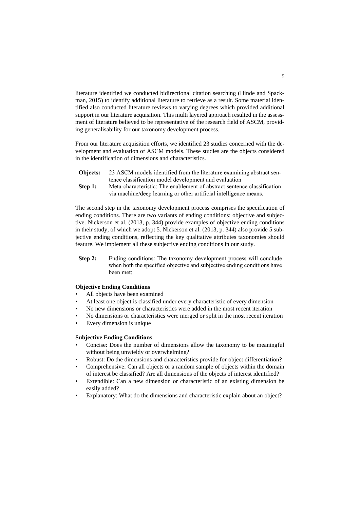literature identified we conducted bidirectional citation searching (Hinde and Spackman, 2015) to identify additional literature to retrieve as a result. Some material identified also conducted literature reviews to varying degrees which provided additional support in our literature acquisition. This multi layered approach resulted in the assessment of literature believed to be representative of the research field of ASCM, providing generalisability for our taxonomy development process.

From our literature acquisition efforts, we identified 23 studies concerned with the development and evaluation of ASCM models. These studies are the objects considered in the identification of dimensions and characteristics.

| <b>Objects:</b> 23 ASCM models identified from the literature examining abstract sen- |
|---------------------------------------------------------------------------------------|
| tence classification model development and evaluation                                 |

**Step 1:** Meta-characteristic: The enablement of abstract sentence classification via machine/deep learning or other artificial intelligence means.

The second step in the taxonomy development process comprises the specification of ending conditions. There are two variants of ending conditions: objective and subjective. Nickerson et al. (2013, p. 344) provide examples of objective ending conditions in their study, of which we adopt 5. Nickerson et al. (2013, p. 344) also provide 5 subjective ending conditions, reflecting the key qualitative attributes taxonomies should feature. We implement all these subjective ending conditions in our study.

**Step 2:** Ending conditions: The taxonomy development process will conclude when both the specified objective and subjective ending conditions have been met:

## **Objective Ending Conditions**

- All objects have been examined
- At least one object is classified under every characteristic of every dimension
- No new dimensions or characteristics were added in the most recent iteration
- No dimensions or characteristics were merged or split in the most recent iteration
- Every dimension is unique

#### **Subjective Ending Conditions**

- Concise: Does the number of dimensions allow the taxonomy to be meaningful without being unwieldy or overwhelming?
- Robust: Do the dimensions and characteristics provide for object differentiation?
- Comprehensive: Can all objects or a random sample of objects within the domain of interest be classified? Are all dimensions of the objects of interest identified?
- Extendible: Can a new dimension or characteristic of an existing dimension be easily added?
- Explanatory: What do the dimensions and characteristic explain about an object?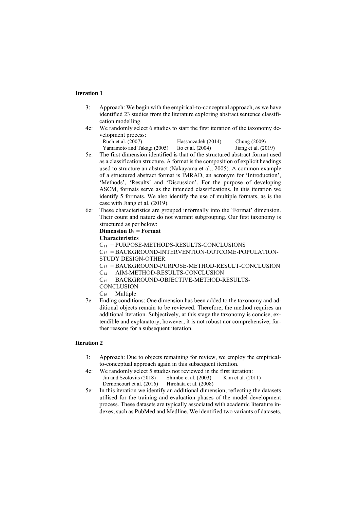## **Iteration 1**

- 3: Approach: We begin with the empirical-to-conceptual approach, as we have identified 23 studies from the literature exploring abstract sentence classification modelling.
- 4e: We randomly select 6 studies to start the first iteration of the taxonomy development process:<br>Ruch et al. (2007)  $H = 11(2014)$  $\alpha$  (2009)

| Ruch et al. (2007)         | Hassanzadeh (2014)  | Chung (2009)          |
|----------------------------|---------------------|-----------------------|
| Yamamoto and Takagi (2005) | Ito et al. $(2004)$ | Jiang et al. $(2019)$ |

- 5e: The first dimension identified is that of the structured abstract format used as a classification structure. A format is the composition of explicit headings used to structure an abstract (Nakayama et al., 2005). A common example of a structured abstract format is IMRAD, an acronym for 'Introduction', 'Methods', 'Results' and 'Discussion'. For the purpose of developing ASCM, formats serve as the intended classifications. In this iteration we identify 5 formats. We also identify the use of multiple formats, as is the case with Jiang et al. (2019).
- 6e: These characteristics are grouped informally into the 'Format' dimension. Their count and nature do not warrant subgrouping. Our first taxonomy is structured as per below:

#### **Dimension D<sup>1</sup> = Format**

#### **Characteristics**

 $C_{11}$  = PURPOSE-METHODS-RESULTS-CONCLUSIONS  $C_{12}$  = BACKGROUND-INTERVENTION-OUTCOME-POPULATION-STUDY DESIGN-OTHER  $C_{13}$  = BACKGROUND-PURPOSE-METHOD-RESULT-CONCLUSION  $C_{14}$  = AIM-METHOD-RESULTS-CONCLUSION  $C_{15}$  = BACKGROUND-OBJECTIVE-METHOD-RESULTS-**CONCLUSION** 

 $C_{16}$  = Multiple

7e: Ending conditions: One dimension has been added to the taxonomy and additional objects remain to be reviewed. Therefore, the method requires an additional iteration. Subjectively, at this stage the taxonomy is concise, extendible and explanatory, however, it is not robust nor comprehensive, further reasons for a subsequent iteration.

- 3: Approach: Due to objects remaining for review, we employ the empiricalto-conceptual approach again in this subsequent iteration.
- 4e: We randomly select 5 studies not reviewed in the first iteration: Jin and Szolovits (2018) Dernoncourt et al. (2016) Shimbo et al. (2003) Hirohata et al. (2008) Kim et al. (2011)
- 5e: In this iteration we identify an additional dimension, reflecting the datasets utilised for the training and evaluation phases of the model development process. These datasets are typically associated with academic literature indexes, such as PubMed and Medline. We identified two variants of datasets,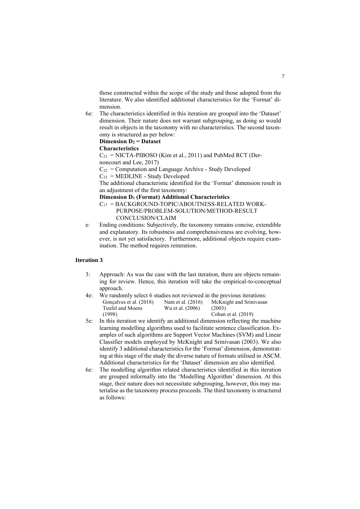those constructed within the scope of the study and those adopted from the literature. We also identified additional characteristics for the 'Format' dimension.

6e: The characteristics identified in this iteration are grouped into the 'Dataset' dimension. Their nature does not warrant subgrouping, as doing so would result in objects in the taxonomy with no characteristics. The second taxonomy is structured as per below:

#### **Dimension D<sup>2</sup> = Dataset**

#### **Characteristics**

 $C_{21}$  = NICTA-PIBOSO (Kim et al., 2011) and PubMed RCT (Dernoncourt and Lee, 2017)

 $C_{22}$  = Computation and Language Archive - Study Developed

 $C_{23}$  = MEDLINE - Study Developed

The additional characteristic identified for the 'Format' dimension result in an adjustment of the first taxonomy:

**Dimension D<sup>1</sup> (Format) Additional Characteristics** 

- $C_{17}$  = BACKGROUND-TOPIC/ABOUTNESS-RELATED WORK- PURPOSE/PROBLEM-SOLUTION/METHOD-RESULT CONCLUSION/CLAIM
- e: Ending conditions: Subjectively, the taxonomy remains concise, extendible and explanatory. Its robustness and comprehensiveness are evolving, however, is not yet satisfactory. Furthermore, additional objects require examination. The method requires reiteration.

- 3: Approach: As was the case with the last iteration, there are objects remaining for review. Hence, this iteration will take the empirical-to-conceptual approach.
- 4e: We randomly select 6 studies not reviewed in the previous iterations: Gonçalves et al. (2018) Teufel and Moens (1998) Nam et al. (2016) Wu et al. (2006) McKnight and Srinivasan (2003) Cohan et al. (2019)
- 5e: In this iteration we identify an additional dimension reflecting the machine learning modelling algorithms used to facilitate sentence classification. Examples of such algorithms are Support Vector Machines (SVM) and Linear Classifier models employed by McKnight and Srinivasan (2003). We also identify 3 additional characteristics for the 'Format' dimension, demonstrating at this stage of the study the diverse nature of formats utilised in ASCM. Additional characteristics for the 'Dataset' dimension are also identified.
- 6e: The modelling algorithm related characteristics identified in this iteration are grouped informally into the 'Modelling Algorithm' dimension. At this stage, their nature does not necessitate subgrouping, however, this may materialise as the taxonomy process proceeds. The third taxonomy is structured as follows: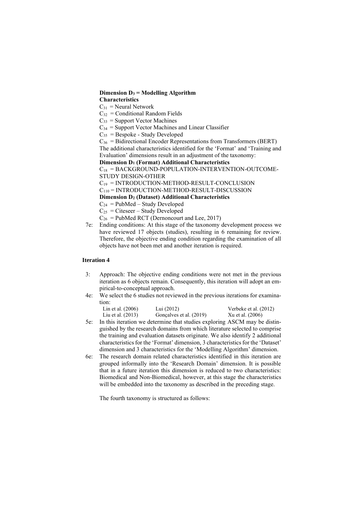#### **Dimension D<sup>3</sup> = Modelling Algorithm Characteristics**

 $C_{31}$  = Neural Network

 $C_{32}$  = Conditional Random Fields

 $C_{33}$  = Support Vector Machines

 $C_{34}$  = Support Vector Machines and Linear Classifier

 $C_{35}$  = Bespoke - Study Developed

 $C_{36}$  = Bidirectional Encoder Representations from Transformers (BERT) The additional characteristics identified for the 'Format' and 'Training and Evaluation' dimensions result in an adjustment of the taxonomy:

**Dimension D<sup>1</sup> (Format) Additional Characteristics**

 $C_{18}$  = BACKGROUND-POPULATION-INTERVENTION-OUTCOME-STUDY DESIGN-OTHER

 $C_{19}$  = INTRODUCTION-METHOD-RESULT-CONCLUSION  $C_{110}$  = INTRODUCTION-METHOD-RESULT-DISCUSSION

**Dimension D<sup>2</sup> (Dataset) Additional Characteristics** 

 $C_{24}$  = PubMed – Study Developed

 $C_{25}$  = Citeseer – Study Developed

 $C_{26}$  = PubMed RCT (Dernoncourt and Lee, 2017)

7e: Ending conditions: At this stage of the taxonomy development process we have reviewed 17 objects (studies), resulting in 6 remaining for review. Therefore, the objective ending condition regarding the examination of all objects have not been met and another iteration is required.

# **Iteration 4**

- 3: Approach: The objective ending conditions were not met in the previous iteration as 6 objects remain. Consequently, this iteration will adopt an empirical-to-conceptual approach.
- 4e: We select the 6 studies not reviewed in the previous iterations for examination:

| Lin et al. (2006) | Lui (2012)              | Verbeke et al. (2012) |
|-------------------|-------------------------|-----------------------|
| Liu et al. (2013) | Gonçalves et al. (2019) | Xu et al. (2006)      |

- 5e: In this iteration we determine that studies exploring ASCM may be distinguished by the research domains from which literature selected to comprise the training and evaluation datasets originate. We also identify 2 additional characteristics for the 'Format' dimension, 3 characteristics for the 'Dataset' dimension and 3 characteristics for the 'Modelling Algorithm' dimension.
- 6e: The research domain related characteristics identified in this iteration are grouped informally into the 'Research Domain' dimension. It is possible that in a future iteration this dimension is reduced to two characteristics: Biomedical and Non-Biomedical, however, at this stage the characteristics will be embedded into the taxonomy as described in the preceding stage.

The fourth taxonomy is structured as follows: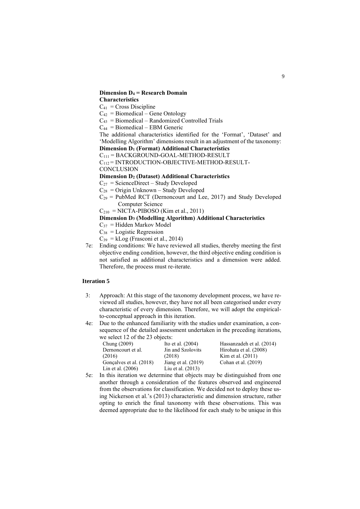#### **Dimension D<sup>4</sup> = Research Domain Characteristics**

 $C_{41}$  = Cross Discipline

 $C_{42}$  = Biomedical – Gene Ontology

 $C_{43}$  = Biomedical – Randomized Controlled Trials

 $C_{44}$  = Biomedical – EBM Generic

The additional characteristics identified for the 'Format', 'Dataset' and 'Modelling Algorithm' dimensions result in an adjustment of the taxonomy: **Dimension D<sup>1</sup> (Format) Additional Characteristics** 

 $C_{111}$  = BACKGROUND-GOAL-METHOD-RESULT

C<sup>112</sup> = INTRODUCTION-OBJECTIVE-METHOD-RESULT-

**CONCLUSION** 

#### **Dimension D<sup>2</sup> (Dataset) Additional Characteristics**

 $C_{27}$  = ScienceDirect – Study Developed

- $C_{28}$  = Origin Unknown Study Developed
- $C_{29}$  = PubMed RCT (Dernoncourt and Lee, 2017) and Study Developed Computer Science

 $C_{210}$  = NICTA-PIBOSO (Kim et al., 2011)

# **Dimension D<sup>3</sup> (Modelling Algorithm) Additional Characteristics**

- $C_{37}$  = Hidden Markov Model
- $C_{38}$  = Logistic Regression
- $C_{39} = kLog (Frasconi et al., 2014)$
- 7e: Ending conditions: We have reviewed all studies, thereby meeting the first objective ending condition, however, the third objective ending condition is not satisfied as additional characteristics and a dimension were added. Therefore, the process must re-iterate.

## **Iteration 5**

- 3: Approach: At this stage of the taxonomy development process, we have reviewed all studies, however, they have not all been categorised under every characteristic of every dimension. Therefore, we will adopt the empiricalto-conceptual approach in this iteration.
- 4e: Due to the enhanced familiarity with the studies under examination, a consequence of the detailed assessment undertaken in the preceding iterations, we select 12 of the 23 objects:

| we select $12$ of the $22$ objects. |                       |                           |  |  |  |  |
|-------------------------------------|-----------------------|---------------------------|--|--|--|--|
| Chung $(2009)$                      | Ito et al. $(2004)$   | Hassanzadeh et al. (2014) |  |  |  |  |
| Dernoncourt et al.                  | Jin and Szolovits     | Hirohata et al. (2008)    |  |  |  |  |
| (2016)                              | (2018)                | Kim et al. $(2011)$       |  |  |  |  |
| Gonçalves et al. (2018)             | Jiang et al. $(2019)$ | Cohan et al. (2019)       |  |  |  |  |
| Lin et al. $(2006)$                 | Liu et al. (2013)     |                           |  |  |  |  |

5e: In this iteration we determine that objects may be distinguished from one another through a consideration of the features observed and engineered from the observations for classification. We decided not to deploy these using Nickerson et al.'s (2013) characteristic and dimension structure, rather opting to enrich the final taxonomy with these observations. This was deemed appropriate due to the likelihood for each study to be unique in this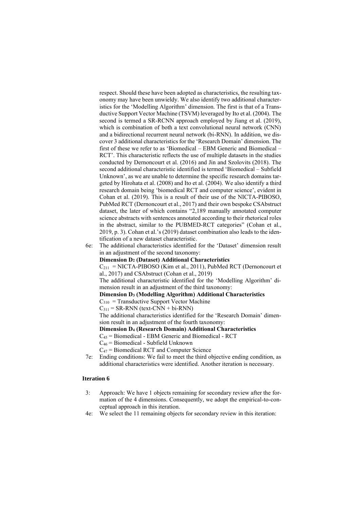respect. Should these have been adopted as characteristics, the resulting taxonomy may have been unwieldy. We also identify two additional characteristics for the 'Modelling Algorithm' dimension. The first is that of a Transductive Support Vector Machine (TSVM) leveraged by Ito et al. (2004). The second is termed a SR-RCNN approach employed by Jiang et al. (2019), which is combination of both a text convolutional neural network (CNN) and a bidirectional recurrent neural network (bi-RNN). In addition, we discover 3 additional characteristics for the 'Research Domain' dimension. The first of these we refer to as 'Biomedical – EBM Generic and Biomedical – RCT'. This characteristic reflects the use of multiple datasets in the studies conducted by Dernoncourt et al. (2016) and Jin and Szolovits (2018). The second additional characteristic identified is termed 'Biomedical – Subfield Unknown', as we are unable to determine the specific research domains targeted by Hirohata et al. (2008) and Ito et al. (2004). We also identify a third research domain being 'biomedical RCT and computer science', evident in Cohan et al. (2019). This is a result of their use of the NICTA-PIBOSO, PubMed RCT (Dernoncourt et al., 2017) and their own bespoke CSAbstruct dataset, the later of which contains "2,189 manually annotated computer science abstracts with sentences annotated according to their rhetorical roles in the abstract, similar to the PUBMED-RCT categories" (Cohan et al., 2019, p. 3). Cohan et al.'s (2019) dataset combination also leads to the identification of a new dataset characteristic.

6e: The additional characteristics identified for the 'Dataset' dimension result in an adjustment of the second taxonomy:

#### **Dimension D<sup>2</sup> (Dataset) Additional Characteristics**

 $C_{211}$  = NICTA-PIBOSO (Kim et al., 2011), PubMed RCT (Dernoncourt et al., 2017) and CSAbstruct (Cohan et al., 2019)

The additional characteristic identified for the 'Modelling Algorithm' dimension result in an adjustment of the third taxonomy:

#### **Dimension D<sup>3</sup> (Modelling Algorithm) Additional Characteristics**

 $C_{310}$  = Transductive Support Vector Machine

 $C_{311}$  = SR-RNN (text-CNN + bi-RNN)

The additional characteristics identified for the 'Research Domain' dimension result in an adjustment of the fourth taxonomy:

#### **Dimension D<sup>4</sup> (Research Domain) Additional Characteristics**

 $C_{45}$  = Biomedical - EBM Generic and Biomedical - RCT

C<sup>46</sup> = Biomedical - Subfield Unknown

 $C_{47}$  = Biomedical RCT and Computer Science

7e: Ending conditions: We fail to meet the third objective ending condition, as additional characteristics were identified. Another iteration is necessary.

- 3: Approach: We have 1 objects remaining for secondary review after the formation of the 4 dimensions. Consequently, we adopt the empirical-to-conceptual approach in this iteration.
- 4e: We select the 11 remaining objects for secondary review in this iteration: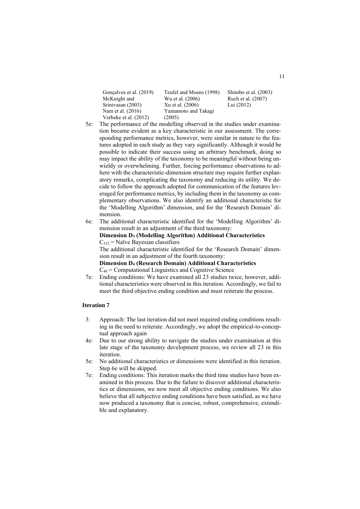| Gonçalves et al. (2019) | Teufel and Moens (1998) | Shimbo et al. (2003) |
|-------------------------|-------------------------|----------------------|
| McKnight and            | Wu et al. (2006)        | Ruch et al. (2007)   |
| Srinivasan (2003)       | Xu et al. (2006)        | Lui $(2012)$         |
| Nam et al. (2016)       | Yamamoto and Takagi     |                      |
| Verbeke et al. (2012)   | (2005)                  |                      |

- 5e: The performance of the modelling observed in the studies under examination became evident as a key characteristic in our assessment. The corresponding performance metrics, however, were similar in nature to the features adopted in each study as they vary significantly. Although it would be possible to indicate their success using an arbitrary benchmark, doing so may impact the ability of the taxonomy to be meaningful without being unwieldy or overwhelming. Further, forcing performance observations to adhere with the characteristic-dimension structure may require further explanatory remarks, complicating the taxonomy and reducing its utility. We decide to follow the approach adopted for communication of the features leveraged for performance metrics, by including them in the taxonomy as complementary observations. We also identify an additional characteristic for the 'Modelling Algorithm' dimension, and for the 'Research Domain' dimension.
- 6e: The additional characteristic identified for the 'Modelling Algorithm' dimension result in an adjustment of the third taxonomy: **Dimension D<sup>3</sup> (Modelling Algorithm) Additional Characteristics**  $C_{312}$  = Naïve Bayesian classifiers The additional characteristic identified for the 'Research Domain' dimension result in an adjustment of the fourth taxonomy: **Dimension D<sup>4</sup> (Research Domain) Additional Characteristics**   $C_{48}$  = Computational Linguistics and Cognitive Science
- 7e: Ending conditions: We have examined all 23 studies twice, however, additional characteristics were observed in this iteration. Accordingly, we fail to meet the third objective ending condition and must reiterate the process.

- 3: Approach: The last iteration did not meet required ending conditions resulting in the need to reiterate. Accordingly, we adopt the empirical-to-conceptual approach again
- 4e: Due to our strong ability to navigate the studies under examination at this late stage of the taxonomy development process, we review all 23 in this iteration.
- 5e: No additional characteristics or dimensions were identified in this iteration. Step 6e will be skipped.
- 7e: Ending conditions: This iteration marks the third time studies have been examined in this process. Due to the failure to discover additional characteristics or dimensions, we now meet all objective ending conditions. We also believe that all subjective ending conditions have been satisfied, as we have now produced a taxonomy that is concise, robust, comprehensive, extendible and explanatory.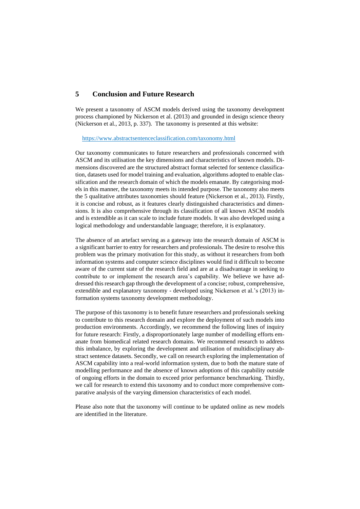# **5 Conclusion and Future Research**

We present a taxonomy of ASCM models derived using the taxonomy development process championed by Nickerson et al. (2013) and grounded in design science theory (Nickerson et al., 2013, p. 337). The taxonomy is presented at this website:

#### <https://www.abstractsentenceclassification.com/taxonomy.html>

Our taxonomy communicates to future researchers and professionals concerned with ASCM and its utilisation the key dimensions and characteristics of known models. Dimensions discovered are the structured abstract format selected for sentence classification, datasets used for model training and evaluation, algorithms adopted to enable classification and the research domain of which the models emanate. By categorising models in this manner, the taxonomy meets its intended purpose. The taxonomy also meets the 5 qualitative attributes taxonomies should feature (Nickerson et al., 2013). Firstly, it is concise and robust, as it features clearly distinguished characteristics and dimensions. It is also comprehensive through its classification of all known ASCM models and is extendible as it can scale to include future models. It was also developed using a logical methodology and understandable language; therefore, it is explanatory.

The absence of an artefact serving as a gateway into the research domain of ASCM is a significant barrier to entry for researchers and professionals. The desire to resolve this problem was the primary motivation for this study, as without it researchers from both information systems and computer science disciplines would find it difficult to become aware of the current state of the research field and are at a disadvantage in seeking to contribute to or implement the research area's capability. We believe we have addressed this research gap through the development of a concise; robust, comprehensive, extendible and explanatory taxonomy - developed using Nickerson et al.'s (2013) information systems taxonomy development methodology.

The purpose of this taxonomy is to benefit future researchers and professionals seeking to contribute to this research domain and explore the deployment of such models into production environments. Accordingly, we recommend the following lines of inquiry for future research: Firstly, a disproportionately large number of modelling efforts emanate from biomedical related research domains. We recommend research to address this imbalance, by exploring the development and utilisation of multidisciplinary abstract sentence datasets. Secondly, we call on research exploring the implementation of ASCM capability into a real-world information system, due to both the mature state of modelling performance and the absence of known adoptions of this capability outside of ongoing efforts in the domain to exceed prior performance benchmarking. Thirdly, we call for research to extend this taxonomy and to conduct more comprehensive comparative analysis of the varying dimension characteristics of each model.

Please also note that the taxonomy will continue to be updated online as new models are identified in the literature.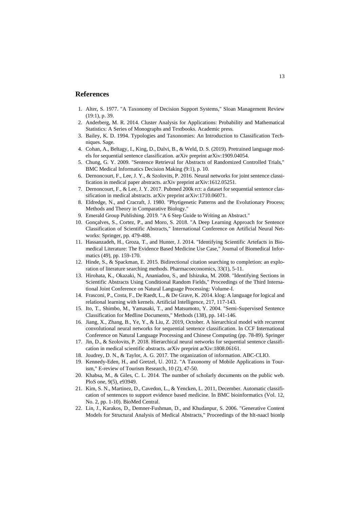# **References**

- 1. Alter, S. 1977. "A Taxonomy of Decision Support Systems," Sloan Management Review (19:1), p. 39.
- 2. Anderberg, M. R. 2014. Cluster Analysis for Applications: Probability and Mathematical Statistics: A Series of Monographs and Textbooks. Academic press.
- 3. Bailey, K. D. 1994. Typologies and Taxonomies: An Introduction to Classification Techniques. Sage.
- 4. Cohan, A., Beltagy, I., King, D., Dalvi, B., & Weld, D. S. (2019). Pretrained language models for sequential sentence classification. arXiv preprint arXiv:1909.04054.
- 5. Chung, G. Y. 2009. "Sentence Retrieval for Abstracts of Randomized Controlled Trials," BMC Medical Informatics Decision Making (9:1), p. 10.
- 6. Dernoncourt, F., Lee, J. Y., & Szolovits, P. 2016. Neural networks for joint sentence classification in medical paper abstracts. arXiv preprint arXiv:1612.05251.
- 7. Dernoncourt, F., & Lee, J. Y. 2017. Pubmed 200k rct: a dataset for sequential sentence classification in medical abstracts. arXiv preprint arXiv:1710.06071.
- 8. Eldredge, N., and Cracraft, J. 1980. "Phytigenetic Patterns and the Evolutionary Process; Methods and Theory in Comparative Biology."
- 9. Emerald Group Publishing. 2019. "A 6 Step Guide to Writing an Abstract."
- 10. Gonçalves, S., Cortez, P., and Moro, S. 2018. "A Deep Learning Approach for Sentence Classification of Scientific Abstracts," International Conference on Artificial Neural Networks: Springer, pp. 479-488.
- 11. Hassanzadeh, H., Groza, T., and Hunter, J. 2014. "Identifying Scientific Artefacts in Biomedical Literature: The Evidence Based Medicine Use Case," Journal of Biomedical Informatics (49), pp. 159-170.
- 12. Hinde, S., & Spackman, E. 2015. Bidirectional citation searching to completion: an exploration of literature searching methods. Pharmacoeconomics, 33(1), 5-11.
- 13. Hirohata, K., Okazaki, N., Ananiadou, S., and Ishizuka, M. 2008. "Identifying Sections in Scientific Abstracts Using Conditional Random Fields," Proceedings of the Third International Joint Conference on Natural Language Processing: Volume-I.
- 14. Frasconi, P., Costa, F., De Raedt, L., & De Grave, K. 2014. klog: A language for logical and relational learning with kernels. Artificial Intelligence, 217, 117-143.
- 15. Ito, T., Shimbo, M., Yamasaki, T., and Matsumoto, Y. 2004. "Semi-Supervised Sentence Classification for Medline Documents," Methods (138), pp. 141-146.
- 16. Jiang, X., Zhang, B., Ye, Y., & Liu, Z. 2019, October. A hierarchical model with recurrent convolutional neural networks for sequential sentence classification. In CCF International Conference on Natural Language Processing and Chinese Computing (pp. 78-89). Springer
- 17. Jin, D., & Szolovits, P. 2018. Hierarchical neural networks for sequential sentence classification in medical scientific abstracts. arXiv preprint arXiv:1808.06161.
- 18. Joudrey, D. N., & Taylor, A. G. 2017. The organization of information. ABC-CLIO.
- 19. Kennedy-Eden, H., and Gretzel, U. 2012. "A Taxonomy of Mobile Applications in Tourism," E-review of Tourism Research, 10 (2), 47-50.
- 20. Khabsa, M., & Giles, C. L. 2014. The number of scholarly documents on the public web. PloS one, 9(5), e93949.
- 21. Kim, S. N., Martinez, D., Cavedon, L., & Yencken, L. 2011, December. Automatic classification of sentences to support evidence based medicine. In BMC bioinformatics (Vol. 12, No. 2, pp. 1-10). BioMed Central.
- 22. Lin, J., Karakos, D., Demner-Fushman, D., and Khudanpur, S. 2006. "Generative Content Models for Structural Analysis of Medical Abstracts," Proceedings of the hlt-naacl bionlp